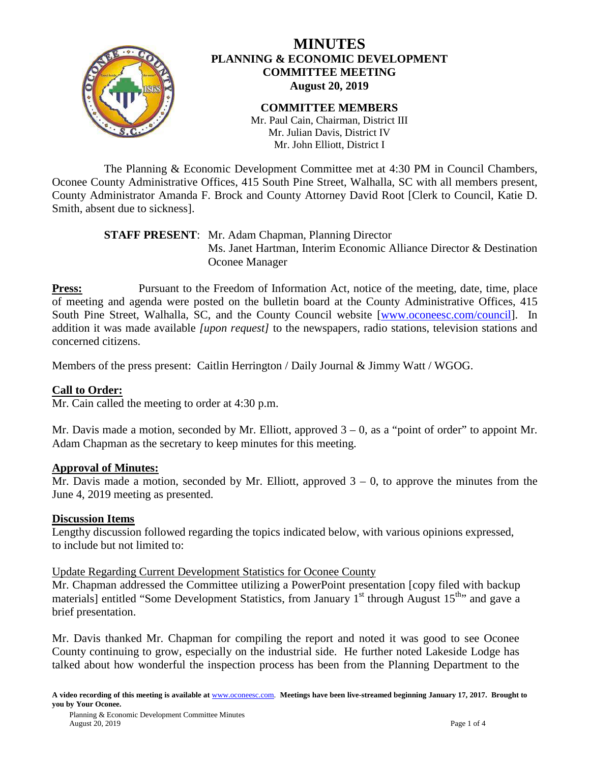

# **MINUTES PLANNING & ECONOMIC DEVELOPMENT COMMITTEE MEETING August 20, 2019**

**COMMITTEE MEMBERS** Mr. Paul Cain, Chairman, District III Mr. Julian Davis, District IV Mr. John Elliott, District I

The Planning & Economic Development Committee met at 4:30 PM in Council Chambers, Oconee County Administrative Offices, 415 South Pine Street, Walhalla, SC with all members present, County Administrator Amanda F. Brock and County Attorney David Root [Clerk to Council, Katie D. Smith, absent due to sickness].

### **STAFF PRESENT**: Mr. Adam Chapman, Planning Director Ms. Janet Hartman, Interim Economic Alliance Director & Destination Oconee Manager

**Press:** Pursuant to the Freedom of Information Act, notice of the meeting, date, time, place of meeting and agenda were posted on the bulletin board at the County Administrative Offices, 415 South Pine Street, Walhalla, SC, and the County Council website [\[www.oconeesc.com/council\]](http://www.oconeesc.com/council). In addition it was made available *[upon request]* to the newspapers, radio stations, television stations and concerned citizens.

Members of the press present: Caitlin Herrington / Daily Journal & Jimmy Watt / WGOG.

### **Call to Order:**

Mr. Cain called the meeting to order at 4:30 p.m.

Mr. Davis made a motion, seconded by Mr. Elliott, approved  $3 - 0$ , as a "point of order" to appoint Mr. Adam Chapman as the secretary to keep minutes for this meeting.

### **Approval of Minutes:**

Mr. Davis made a motion, seconded by Mr. Elliott, approved  $3 - 0$ , to approve the minutes from the June 4, 2019 meeting as presented.

### **Discussion Items**

Lengthy discussion followed regarding the topics indicated below, with various opinions expressed, to include but not limited to:

Update Regarding Current Development Statistics for Oconee County

Mr. Chapman addressed the Committee utilizing a PowerPoint presentation [copy filed with backup materials] entitled "Some Development Statistics, from January 1<sup>st</sup> through August 15<sup>th</sup>" and gave a brief presentation.

Mr. Davis thanked Mr. Chapman for compiling the report and noted it was good to see Oconee County continuing to grow, especially on the industrial side. He further noted Lakeside Lodge has talked about how wonderful the inspection process has been from the Planning Department to the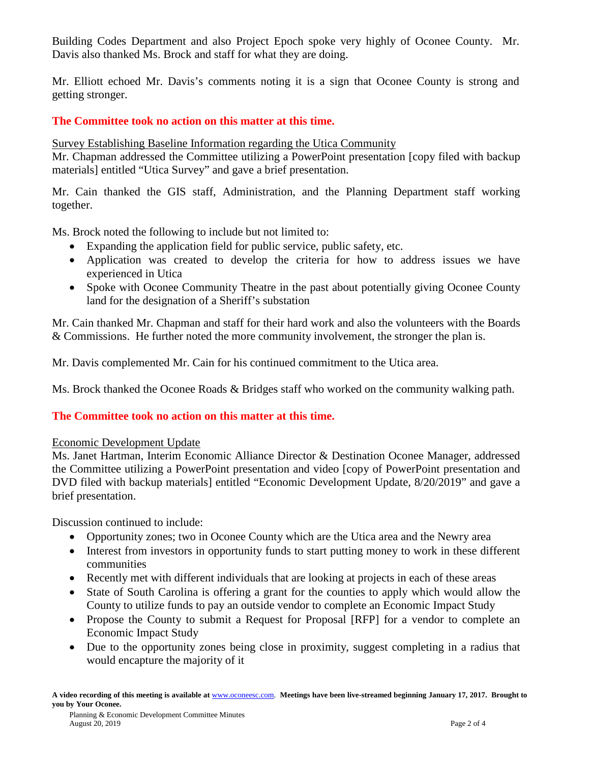Building Codes Department and also Project Epoch spoke very highly of Oconee County. Mr. Davis also thanked Ms. Brock and staff for what they are doing.

Mr. Elliott echoed Mr. Davis's comments noting it is a sign that Oconee County is strong and getting stronger.

## **The Committee took no action on this matter at this time.**

Survey Establishing Baseline Information regarding the Utica Community

Mr. Chapman addressed the Committee utilizing a PowerPoint presentation [copy filed with backup materials] entitled "Utica Survey" and gave a brief presentation.

Mr. Cain thanked the GIS staff, Administration, and the Planning Department staff working together.

Ms. Brock noted the following to include but not limited to:

- Expanding the application field for public service, public safety, etc.
- Application was created to develop the criteria for how to address issues we have experienced in Utica
- Spoke with Oconee Community Theatre in the past about potentially giving Oconee County land for the designation of a Sheriff's substation

Mr. Cain thanked Mr. Chapman and staff for their hard work and also the volunteers with the Boards & Commissions. He further noted the more community involvement, the stronger the plan is.

Mr. Davis complemented Mr. Cain for his continued commitment to the Utica area.

Ms. Brock thanked the Oconee Roads & Bridges staff who worked on the community walking path.

### **The Committee took no action on this matter at this time.**

### Economic Development Update

Ms. Janet Hartman, Interim Economic Alliance Director & Destination Oconee Manager, addressed the Committee utilizing a PowerPoint presentation and video [copy of PowerPoint presentation and DVD filed with backup materials] entitled "Economic Development Update, 8/20/2019" and gave a brief presentation.

Discussion continued to include:

- Opportunity zones; two in Oconee County which are the Utica area and the Newry area
- Interest from investors in opportunity funds to start putting money to work in these different communities
- Recently met with different individuals that are looking at projects in each of these areas
- State of South Carolina is offering a grant for the counties to apply which would allow the County to utilize funds to pay an outside vendor to complete an Economic Impact Study
- Propose the County to submit a Request for Proposal [RFP] for a vendor to complete an Economic Impact Study
- Due to the opportunity zones being close in proximity, suggest completing in a radius that would encapture the majority of it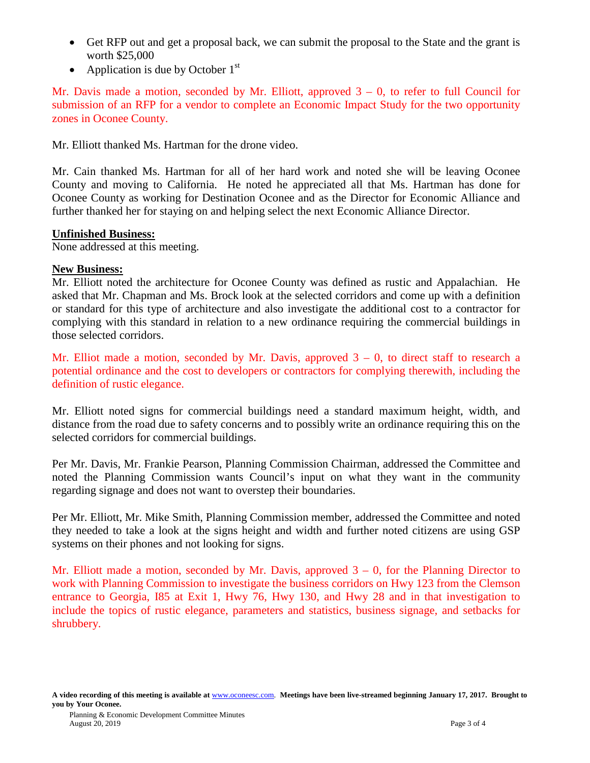- Get RFP out and get a proposal back, we can submit the proposal to the State and the grant is worth \$25,000
- Application is due by October  $1<sup>st</sup>$

Mr. Davis made a motion, seconded by Mr. Elliott, approved  $3 - 0$ , to refer to full Council for submission of an RFP for a vendor to complete an Economic Impact Study for the two opportunity zones in Oconee County.

Mr. Elliott thanked Ms. Hartman for the drone video.

Mr. Cain thanked Ms. Hartman for all of her hard work and noted she will be leaving Oconee County and moving to California. He noted he appreciated all that Ms. Hartman has done for Oconee County as working for Destination Oconee and as the Director for Economic Alliance and further thanked her for staying on and helping select the next Economic Alliance Director.

### **Unfinished Business:**

None addressed at this meeting.

### **New Business:**

Mr. Elliott noted the architecture for Oconee County was defined as rustic and Appalachian. He asked that Mr. Chapman and Ms. Brock look at the selected corridors and come up with a definition or standard for this type of architecture and also investigate the additional cost to a contractor for complying with this standard in relation to a new ordinance requiring the commercial buildings in those selected corridors.

Mr. Elliot made a motion, seconded by Mr. Davis, approved  $3 - 0$ , to direct staff to research a potential ordinance and the cost to developers or contractors for complying therewith, including the definition of rustic elegance.

Mr. Elliott noted signs for commercial buildings need a standard maximum height, width, and distance from the road due to safety concerns and to possibly write an ordinance requiring this on the selected corridors for commercial buildings.

Per Mr. Davis, Mr. Frankie Pearson, Planning Commission Chairman, addressed the Committee and noted the Planning Commission wants Council's input on what they want in the community regarding signage and does not want to overstep their boundaries.

Per Mr. Elliott, Mr. Mike Smith, Planning Commission member, addressed the Committee and noted they needed to take a look at the signs height and width and further noted citizens are using GSP systems on their phones and not looking for signs.

Mr. Elliott made a motion, seconded by Mr. Davis, approved  $3 - 0$ , for the Planning Director to work with Planning Commission to investigate the business corridors on Hwy 123 from the Clemson entrance to Georgia, I85 at Exit 1, Hwy 76, Hwy 130, and Hwy 28 and in that investigation to include the topics of rustic elegance, parameters and statistics, business signage, and setbacks for shrubbery.